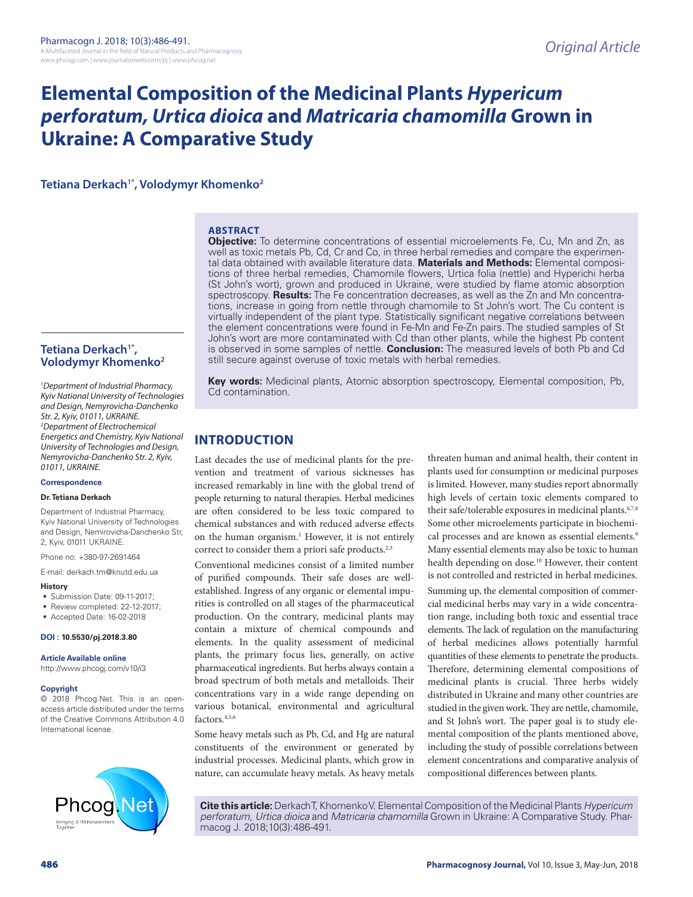# **Elemental Composition of the Medicinal Plants** *Hypericum perforatum, Urtica dioica* **and** *Matricaria chamomilla* **Grown in Ukraine: A Comparative Study**

**Tetiana Derkach1\*, Volodymyr Khomenko2**

## **ABSTRACT**

**Objective:** To determine concentrations of essential microelements Fe, Cu, Mn and Zn, as well as toxic metals Pb, Cd, Cr and Co, in three herbal remedies and compare the experimental data obtained with available literature data. **Materials and Methods:** Elemental compositions of three herbal remedies, Chamomile flowers, Urtica folia (nettle) and Hyperichi herba (St John's wort), grown and produced in Ukraine, were studied by flame atomic absorption spectroscopy. **Results:** The Fe concentration decreases, as well as the Zn and Mn concentrations, increase in going from nettle through chamomile to St John's wort. The Cu content is virtually independent of the plant type. Statistically significant negative correlations between the element concentrations were found in Fe-Mn and Fe-Zn pairs. The studied samples of St John's wort are more contaminated with Cd than other plants, while the highest Pb content is observed in some samples of nettle. **Conclusion:** The measured levels of both Pb and Cd still secure against overuse of toxic metals with herbal remedies.

Tetiana Derkach<sup>1\*</sup>, **Volodymyr Khomenko2**

*1 Department of Industrial Pharmacy, Kyiv National University of Technologies and Design, Nemyrovicha-Danchenko Str. 2, Kyiv, 01011, UKRAINE. 2 Department of Electrochemical Energetics and Chemistry, Kyiv National University of Technologies and Design, Nemyrovicha-Danchenko Str. 2, Kyiv, 01011, UKRAINE.*

#### **Correspondence**

#### **Dr. Tetiana Derkach**

Department of Industrial Pharmacy, Kyiv National University of Technologies and Design, Nemirovicha-Danchenko Str, 2, Kyiv, 01011 UKRAINE.

Phone no: +380-97-2691464

E-mail: derkach.tm@knutd.edu.ua

#### **History**

• Submission Date: 09-11-2017;

- Review completed: 22-12-2017;
- Accepted Date: 16-02-2018

### **DOI : 10.5530/pj.2018.3.80**

**Article Available online** 

http://www.phcogj.com/v10/i3

#### **Copyright**

© 2018 Phcog.Net. This is an openaccess article distributed under the terms of the Creative Commons Attribution 4.0 International license.



**Key words:** Medicinal plants, Atomic absorption spectroscopy, Elemental composition, Pb, Cd contamination.

# **INTRODUCTION**

Last decades the use of medicinal plants for the prevention and treatment of various sicknesses has increased remarkably in line with the global trend of people returning to natural therapies. Herbal medicines are often considered to be less toxic compared to chemical substances and with reduced adverse effects on the human organism.<sup>1</sup> However, it is not entirely correct to consider them a priori safe products.<sup>2,3</sup>

Conventional medicines consist of a limited number of purified compounds. Their safe doses are wellestablished. Ingress of any organic or elemental impurities is controlled on all stages of the pharmaceutical production. On the contrary, medicinal plants may contain a mixture of chemical compounds and elements. In the quality assessment of medicinal plants, the primary focus lies, generally, on active pharmaceutical ingredients. But herbs always contain a broad spectrum of both metals and metalloids. Their concentrations vary in a wide range depending on various botanical, environmental and agricultural factors.4,5,6

Some heavy metals such as Pb, Cd, and Hg are natural constituents of the environment or generated by industrial processes. Medicinal plants, which grow in nature, can accumulate heavy metals. As heavy metals

threaten human and animal health, their content in plants used for consumption or medicinal purposes is limited. However, many studies report abnormally high levels of certain toxic elements compared to their safe/tolerable exposures in medicinal plants.<sup>6,7,8</sup> Some other microelements participate in biochemical processes and are known as essential elements.<sup>9</sup> Many essential elements may also be toxic to human health depending on dose.10 However, their content is not controlled and restricted in herbal medicines. Summing up, the elemental composition of commercial medicinal herbs may vary in a wide concentration range, including both toxic and essential trace elements. The lack of regulation on the manufacturing of herbal medicines allows potentially harmful quantities of these elements to penetrate the products. Therefore, determining elemental compositions of medicinal plants is crucial. Three herbs widely distributed in Ukraine and many other countries are studied in the given work. They are nettle, chamomile, and St John's wort. The paper goal is to study elemental composition of the plants mentioned above, including the study of possible correlations between element concentrations and comparative analysis of compositional differences between plants.

**Cite this article:** Derkach T, Khomenko V. Elemental Composition of the Medicinal Plants *Hypericum perforatum*, *Urtica dioica* and *Matricaria chamomilla* Grown in Ukraine: A Comparative Study. Pharmacog J. 2018;10(3):486-491.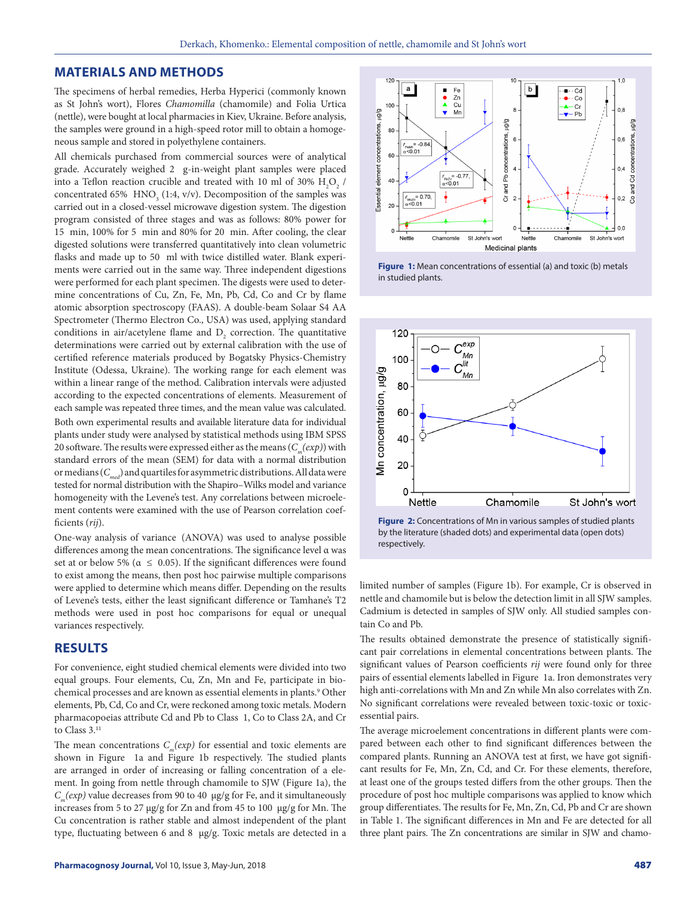### **MATERIALS AND METHODS**

The specimens of herbal remedies, Herba Hyperici (commonly known as St John's wort), Flores *Chamomilla* (chamomile) and Folia Urtica (nettle), were bought at local pharmacies in Kiev, Ukraine. Before analysis, the samples were ground in a high-speed rotor mill to obtain a homogeneous sample and stored in polyethylene containers.

All chemicals purchased from commercial sources were of analytical grade. Accurately weighed 2 g-in-weight plant samples were placed into a Teflon reaction crucible and treated with 10 ml of 30%  $\rm H_2O_2$  / concentrated 65%  $HNO<sub>3</sub>$  (1:4, v/v). Decomposition of the samples was carried out in a closed-vessel microwave digestion system. The digestion program consisted of three stages and was as follows: 80% power for 15 min, 100% for 5 min and 80% for 20 min. After cooling, the clear digested solutions were transferred quantitatively into clean volumetric flasks and made up to 50 ml with twice distilled water. Blank experiments were carried out in the same way. Three independent digestions were performed for each plant specimen. The digests were used to determine concentrations of Cu, Zn, Fe, Mn, Pb, Cd, Co and Cr by flame atomic absorption spectroscopy (FAAS). A double-beam Solaar S4 AA Spectrometer (Thermo Electron Co., USA) was used, applying standard conditions in air/acetylene flame and  $D_2$  correction. The quantitative determinations were carried out by external calibration with the use of certified reference materials produced by Bogatsky Physics-Chemistry Institute (Odessa, Ukraine). The working range for each element was within a linear range of the method. Calibration intervals were adjusted according to the expected concentrations of elements. Measurement of each sample was repeated three times, and the mean value was calculated. Both own experimental results and available literature data for individual plants under study were analysed by statistical methods using IBM SPSS 20 software. The results were expressed either as the means  $(C_m(exp))$  with standard errors of the mean (SEM) for data with a normal distribution or medians (*Cmed*) and quartiles for asymmetric distributions. All data were tested for normal distribution with the Shapiro–Wilks model and variance homogeneity with the Levene's test. Any correlations between microelement contents were examined with the use of Pearson correlation coefficients (*rij*).

One-way analysis of variance (ANOVA) was used to analyse possible differences among the mean concentrations. The significance level α was set at or below 5% ( $\alpha \leq 0.05$ ). If the significant differences were found to exist among the means, then post hoc pairwise multiple comparisons were applied to determine which means differ. Depending on the results of Levene's tests, either the least significant difference or Tamhane's T2 methods were used in post hoc comparisons for equal or unequal variances respectively.

# **RESULTS**

For convenience, eight studied chemical elements were divided into two equal groups. Four elements, Cu, Zn, Mn and Fe, participate in biochemical processes and are known as essential elements in plants.<sup>9</sup> Other elements, Pb, Cd, Co and Cr, were reckoned among toxic metals. Modern pharmacopoeias attribute Cd and Pb to Class 1, Co to Class 2A, and Cr to Class 3.<sup>11</sup>

The mean concentrations  $C_m(exp)$  for essential and toxic elements are shown in Figure 1a and Figure 1b respectively. The studied plants are arranged in order of increasing or falling concentration of a element. In going from nettle through chamomile to SJW (Figure 1a), the *Cm(exp)* value decreases from 90 to 40 µg/g for Fe, and it simultaneously increases from 5 to 27 µg/g for Zn and from 45 to 100 µg/g for Mn. The Cu concentration is rather stable and almost independent of the plant type, fluctuating between 6 and 8 µg/g. Toxic metals are detected in a



**Figure 1:** Mean concentrations of essential (a) and toxic (b) metals in studied plants.



**Figure 2:** Concentrations of Mn in various samples of studied plants by the literature (shaded dots) and experimental data (open dots) respectively.

limited number of samples (Figure 1b). For example, Cr is observed in nettle and chamomile but is below the detection limit in all SJW samples. Cadmium is detected in samples of SJW only. All studied samples contain Co and Pb.

The results obtained demonstrate the presence of statistically significant pair correlations in elemental concentrations between plants. The significant values of Pearson coefficients *rij* were found only for three pairs of essential elements labelled in Figure 1a. Iron demonstrates very high anti-correlations with Mn and Zn while Mn also correlates with Zn. No significant correlations were revealed between toxic-toxic or toxicessential pairs.

The average microelement concentrations in different plants were compared between each other to find significant differences between the compared plants. Running an ANOVA test at first, we have got significant results for Fe, Mn, Zn, Cd, and Cr. For these elements, therefore, at least one of the groups tested differs from the other groups. Then the procedure of post hoc multiple comparisons was applied to know which group differentiates. The results for Fe, Mn, Zn, Cd, Pb and Cr are shown in Table 1. The significant differences in Mn and Fe are detected for all three plant pairs. The Zn concentrations are similar in SJW and chamo-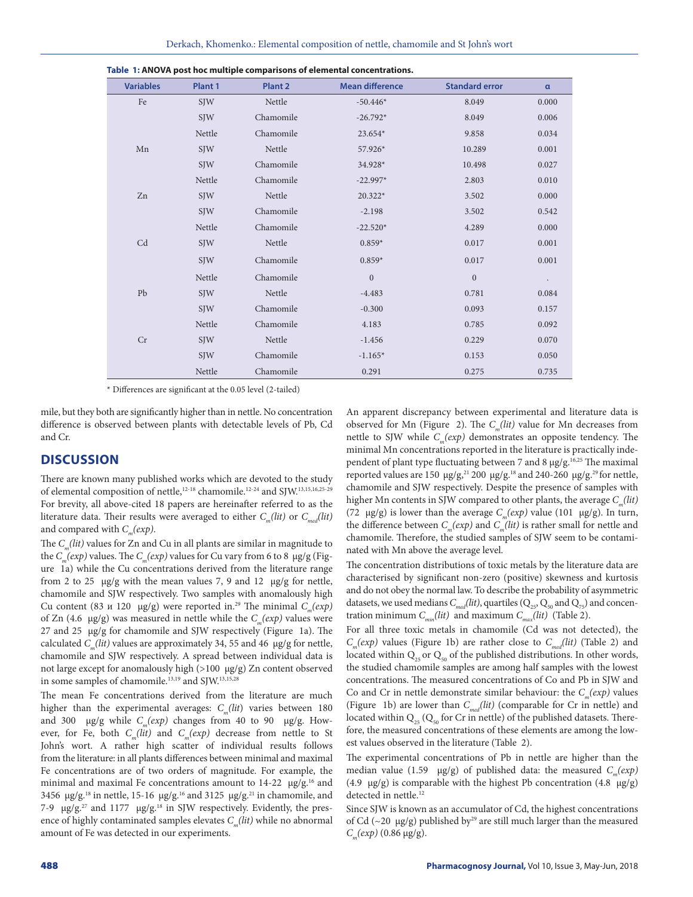| <b>Variables</b> | Plant 1    | Plant <sub>2</sub> | <b>Mean difference</b> | <b>Standard error</b> | $\alpha$  |
|------------------|------------|--------------------|------------------------|-----------------------|-----------|
| Fe               | <b>SJW</b> | Nettle             | $-50.446*$             | 8.049                 | 0.000     |
|                  | <b>SJW</b> | Chamomile          | $-26.792*$             | 8.049                 | 0.006     |
|                  | Nettle     | Chamomile          | 23.654*                | 9.858                 | 0.034     |
| Mn               | <b>SJW</b> | Nettle             | 57.926*                | 10.289                | 0.001     |
|                  | <b>SJW</b> | Chamomile          | 34.928*                | 10.498                | 0.027     |
|                  | Nettle     | Chamomile          | $-22.997*$             | 2.803                 | 0.010     |
| Zn               | <b>SJW</b> | Nettle             | 20.322*                | 3.502                 | 0.000     |
|                  | <b>SIW</b> | Chamomile          | $-2.198$               | 3.502                 | 0.542     |
|                  | Nettle     | Chamomile          | $-22.520*$             | 4.289                 | 0.000     |
| C <sub>d</sub>   | <b>SIW</b> | Nettle             | $0.859*$               | 0.017                 | 0.001     |
|                  | <b>SIW</b> | Chamomile          | $0.859*$               | 0.017                 | 0.001     |
|                  | Nettle     | Chamomile          | $\mathbf{0}$           | $\mathbf{0}$          | $\bullet$ |
| Pb               | <b>SIW</b> | Nettle             | $-4.483$               | 0.781                 | 0.084     |
|                  | <b>SIW</b> | Chamomile          | $-0.300$               | 0.093                 | 0.157     |
|                  | Nettle     | Chamomile          | 4.183                  | 0.785                 | 0.092     |
| Cr               | <b>SIW</b> | Nettle             | $-1.456$               | 0.229                 | 0.070     |
|                  | <b>SIW</b> | Chamomile          | $-1.165*$              | 0.153                 | 0.050     |
|                  | Nettle     | Chamomile          | 0.291                  | 0.275                 | 0.735     |

**Table 1: ANOVA post hoc multiple comparisons of elemental concentrations.**

\* Differences are significant at the 0.05 level (2-tailed)

mile, but they both are significantly higher than in nettle. No concentration difference is observed between plants with detectable levels of Pb, Cd and Cr.

# **DISCUSSION**

There are known many published works which are devoted to the study of elemental composition of nettle,12-18 chamomile.12-24 and SJW.13,15,16,25-29 For brevity, all above-cited 18 papers are hereinafter referred to as the literature data. Their results were averaged to either  $C_m(lit)$  or  $C_{mod}(lit)$ and compared with  $C_m(exp)$ .

The *C<sub>m</sub>(lit)* values for Zn and Cu in all plants are similar in magnitude to the *Cm(exp)* values. The *Cm(exp)* values for Cu vary from 6 to 8 µg/g (Figure 1a) while the Cu concentrations derived from the literature range from 2 to 25  $\mu$ g/g with the mean values 7, 9 and 12  $\mu$ g/g for nettle, chamomile and SJW respectively. Two samples with anomalously high Cu content (83 *u* 120  $\mu$ g/g) were reported in.<sup>29</sup> The minimal *C<sub>m</sub>(exp)* of Zn (4.6  $\mu$ g/g) was measured in nettle while the *C<sub>n</sub>*(*exp*) values were 27 and 25  $\mu$ g/g for chamomile and SJW respectively (Figure 1a). The calculated *Cm(lit)* values are approximately 34, 55 and 46 µg/g for nettle, chamomile and SJW respectively. A spread between individual data is not large except for anomalously high (>100 µg/g) Zn content observed in some samples of chamomile.<sup>13,19</sup> and SJW.<sup>13,15,28</sup>

The mean Fe concentrations derived from the literature are much higher than the experimental averages: *C<sub>m</sub>(lit)* varies between 180 and 300  $\mu$ g/g while *C<sub>m</sub>(exp)* changes from 40 to 90  $\mu$ g/g. However, for Fe, both  $C_m(lit)$  and  $C_m(exp)$  decrease from nettle to St John's wort. A rather high scatter of individual results follows from the literature: in all plants differences between minimal and maximal Fe concentrations are of two orders of magnitude. For example, the minimal and maximal Fe concentrations amount to 14-22 µg/g.<sup>16</sup> and 3456  $\mu$ g/g.<sup>18</sup> in nettle, 15-16  $\mu$ g/g.<sup>16</sup> and 3125  $\mu$ g/g.<sup>21</sup> in chamomile, and 7-9  $\mu$ g/g.<sup>27</sup> and 1177  $\mu$ g/g.<sup>18</sup> in SJW respectively. Evidently, the presence of highly contaminated samples elevates  $C_m(lit)$  while no abnormal amount of Fe was detected in our experiments.

An apparent discrepancy between experimental and literature data is observed for Mn (Figure 2). The C<sub>m</sub>(lit) value for Mn decreases from nettle to SJW while  $C_m(exp)$  demonstrates an opposite tendency. The minimal Mn concentrations reported in the literature is practically independent of plant type fluctuating between 7 and 8 µg/g.<sup>16,25</sup> The maximal reported values are 150  $\mu$ g/g,<sup>21</sup> 200  $\mu$ g/g.<sup>18</sup> and 240-260  $\mu$ g/g.<sup>29</sup> for nettle, chamomile and SJW respectively. Despite the presence of samples with higher Mn contents in SJW compared to other plants, the average  $C_n(lit)$ (72  $\mu$ g/g) is lower than the average *C<sub>m</sub>(exp)* value (101  $\mu$ g/g). In turn, the difference between  $C_m(exp)$  and  $C_m(lit)$  is rather small for nettle and chamomile. Therefore, the studied samples of SJW seem to be contaminated with Mn above the average level.

The concentration distributions of toxic metals by the literature data are characterised by significant non-zero (positive) skewness and kurtosis and do not obey the normal law. To describe the probability of asymmetric datasets, we used medians  $C_{mod}(lit)$ , quartiles  $(Q_{25}, Q_{50} \text{ and } Q_{75})$  and concentration minimum  $C_{min}(lit)$  and maximum  $C_{max}(lit)$  (Table 2).

For all three toxic metals in chamomile (Cd was not detected), the *Cm(exp)* values (Figure 1b) are rather close to *Cmed(lit)* (Table 2) and located within  $Q_{25}$  or  $Q_{50}$  of the published distributions. In other words, the studied chamomile samples are among half samples with the lowest concentrations. The measured concentrations of Co and Pb in SJW and Co and Cr in nettle demonstrate similar behaviour: the  $C_m(exp)$  values (Figure 1b) are lower than *Cmed(lit)* (comparable for Cr in nettle) and located within  $Q_{25}$  ( $Q_{50}$  for Cr in nettle) of the published datasets. Therefore, the measured concentrations of these elements are among the lowest values observed in the literature (Table 2).

The experimental concentrations of Pb in nettle are higher than the median value (1.59 µg/g) of published data: the measured *C<sub>m</sub>(exp)* (4.9  $\mu$ g/g) is comparable with the highest Pb concentration (4.8  $\mu$ g/g) detected in nettle.<sup>12</sup>

Since SJW is known as an accumulator of Cd, the highest concentrations of Cd ( $\sim$ 20 µg/g) published by<sup>29</sup> are still much larger than the measured *C<sub>m</sub>*(*exp*) (0.86 μg/g).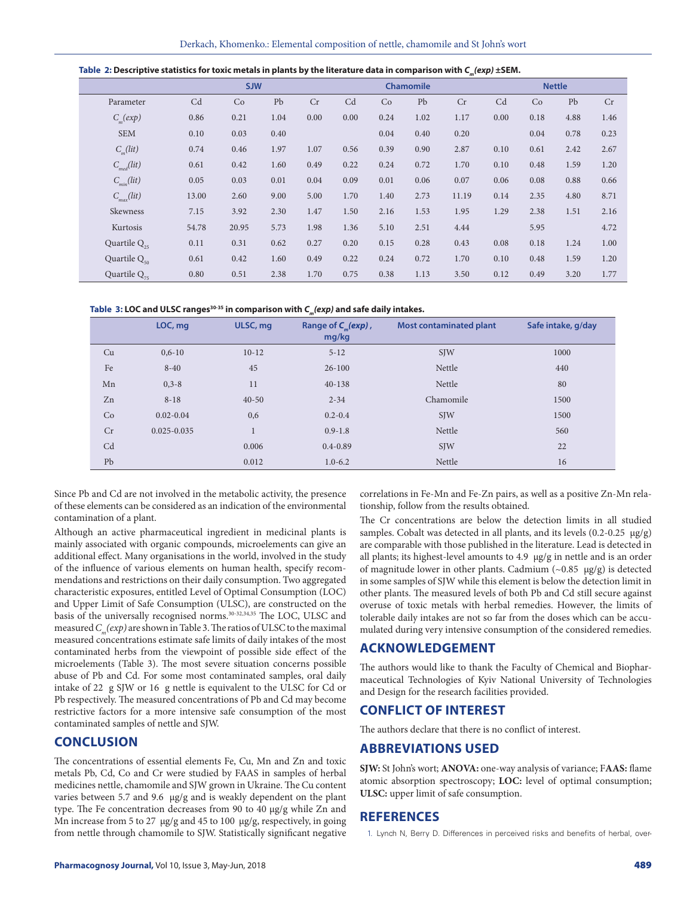| Table 2: Descriptive statistics for toxic metals in plants by the literature data in comparison with $C_m(exp) \pm$ SEM. |  |
|--------------------------------------------------------------------------------------------------------------------------|--|
|--------------------------------------------------------------------------------------------------------------------------|--|

|                   |       | <b>SJW</b> |      |      |      |      | Chamomile |       |      |      | <b>Nettle</b> |      |
|-------------------|-------|------------|------|------|------|------|-----------|-------|------|------|---------------|------|
| Parameter         | Cd    | Co         | Pb   | Cr   | Cd   | Co   | Pb        | Cr    | Cd   | Co   | Pb            | Cr   |
| $C_m(exp)$        | 0.86  | 0.21       | 1.04 | 0.00 | 0.00 | 0.24 | 1.02      | 1.17  | 0.00 | 0.18 | 4.88          | 1.46 |
| <b>SEM</b>        | 0.10  | 0.03       | 0.40 |      |      | 0.04 | 0.40      | 0.20  |      | 0.04 | 0.78          | 0.23 |
| $C_u(lit)$        | 0.74  | 0.46       | 1.97 | 1.07 | 0.56 | 0.39 | 0.90      | 2.87  | 0.10 | 0.61 | 2.42          | 2.67 |
| $C_{med}(lit)$    | 0.61  | 0.42       | 1.60 | 0.49 | 0.22 | 0.24 | 0.72      | 1.70  | 0.10 | 0.48 | 1.59          | 1.20 |
| $C_{\min}(lit)$   | 0.05  | 0.03       | 0.01 | 0.04 | 0.09 | 0.01 | 0.06      | 0.07  | 0.06 | 0.08 | 0.88          | 0.66 |
| $C_{max}(lit)$    | 13.00 | 2.60       | 9.00 | 5.00 | 1.70 | 1.40 | 2.73      | 11.19 | 0.14 | 2.35 | 4.80          | 8.71 |
| Skewness          | 7.15  | 3.92       | 2.30 | 1.47 | 1.50 | 2.16 | 1.53      | 1.95  | 1.29 | 2.38 | 1.51          | 2.16 |
| Kurtosis          | 54.78 | 20.95      | 5.73 | 1.98 | 1.36 | 5.10 | 2.51      | 4.44  |      | 5.95 |               | 4.72 |
| Quartile $Q_{25}$ | 0.11  | 0.31       | 0.62 | 0.27 | 0.20 | 0.15 | 0.28      | 0.43  | 0.08 | 0.18 | 1.24          | 1.00 |
| Quartile $Q_{50}$ | 0.61  | 0.42       | 1.60 | 0.49 | 0.22 | 0.24 | 0.72      | 1.70  | 0.10 | 0.48 | 1.59          | 1.20 |
| Quartile $Q_{75}$ | 0.80  | 0.51       | 2.38 | 1.70 | 0.75 | 0.38 | 1.13      | 3.50  | 0.12 | 0.49 | 3.20          | 1.77 |

| Table 3: LOC and ULSC ranges $^{\text{30-35}}$ in comparison with $\bm{\mathsf{C}}_{_{\sf m}}$ (ex $\bm{p}$ ) and safe daily intakes. |  |  |
|---------------------------------------------------------------------------------------------------------------------------------------|--|--|
|---------------------------------------------------------------------------------------------------------------------------------------|--|--|

|    | LOC, mg         | ULSC, mg     | Range of $C_n(exp)$ ,<br>mg/kg | <b>Most contaminated plant</b> | Safe intake, g/day |
|----|-----------------|--------------|--------------------------------|--------------------------------|--------------------|
| Cu | $0.6 - 10$      | $10-12$      | $5 - 12$                       | <b>SJW</b>                     | 1000               |
| Fe | $8 - 40$        | 45           | $26-100$                       | Nettle                         | 440                |
| Mn | $0, 3 - 8$      | 11           | $40 - 138$                     | Nettle                         | 80                 |
| Zn | $8 - 18$        | $40 - 50$    | $2 - 34$                       | Chamomile                      | 1500               |
| Co | $0.02 - 0.04$   | 0,6          | $0.2 - 0.4$                    | <b>SJW</b>                     | 1500               |
| Cr | $0.025 - 0.035$ | $\mathbf{1}$ | $0.9 - 1.8$                    | Nettle                         | 560                |
| Cd |                 | 0.006        | $0.4 - 0.89$                   | <b>SJW</b>                     | 22                 |
| Pb |                 | 0.012        | $1.0 - 6.2$                    | Nettle                         | 16                 |

Since Pb and Cd are not involved in the metabolic activity, the presence of these elements can be considered as an indication of the environmental contamination of a plant.

Although an active pharmaceutical ingredient in medicinal plants is mainly associated with organic compounds, microelements can give an additional effect. Many organisations in the world, involved in the study of the influence of various elements on human health, specify recommendations and restrictions on their daily consumption. Two aggregated characteristic exposures, entitled Level of Optimal Consumption (LOC) and Upper Limit of Safe Consumption (ULSC), are constructed on the basis of the universally recognised norms.<sup>30-32,34,35</sup> The LOC, ULSC and measured *Cm(exp)* are shown in Table 3. The ratios of ULSC to the maximal measured concentrations estimate safe limits of daily intakes of the most contaminated herbs from the viewpoint of possible side effect of the microelements (Table 3). The most severe situation concerns possible abuse of Pb and Cd. For some most contaminated samples, oral daily intake of 22 g SJW or 16 g nettle is equivalent to the ULSC for Cd or Pb respectively. The measured concentrations of Pb and Cd may become restrictive factors for a more intensive safe consumption of the most contaminated samples of nettle and SJW.

# **CONCLUSION**

The concentrations of essential elements Fe, Cu, Mn and Zn and toxic metals Pb, Cd, Co and Cr were studied by FAAS in samples of herbal medicines nettle, chamomile and SJW grown in Ukraine. The Cu content varies between 5.7 and 9.6 µg/g and is weakly dependent on the plant type. The Fe concentration decreases from 90 to 40 µg/g while Zn and Mn increase from 5 to 27 µg/g and 45 to 100 µg/g, respectively, in going from nettle through chamomile to SJW. Statistically significant negative correlations in Fe-Mn and Fe-Zn pairs, as well as a positive Zn-Mn relationship, follow from the results obtained.

The Cr concentrations are below the detection limits in all studied samples. Cobalt was detected in all plants, and its levels  $(0.2-0.25 \mu g/g)$ are comparable with those published in the literature. Lead is detected in all plants; its highest-level amounts to  $4.9 \mu g/g$  in nettle and is an order of magnitude lower in other plants. Cadmium  $(\sim 0.85 \text{ µg/g})$  is detected in some samples of SJW while this element is below the detection limit in other plants. The measured levels of both Pb and Cd still secure against overuse of toxic metals with herbal remedies. However, the limits of tolerable daily intakes are not so far from the doses which can be accumulated during very intensive consumption of the considered remedies.

# **ACKNOWLEDGEMENT**

The authors would like to thank the Faculty of Chemical and Biopharmaceutical Technologies of Kyiv National University of Technologies and Design for the research facilities provided.

# **CONFLICT OF INTEREST**

The authors declare that there is no conflict of interest.

# **ABBREVIATIONS USED**

**SJW:** St John's wort; **ANOVA:** one-way analysis of variance; F**AAS:** flame atomic absorption spectroscopy; **LOC:** level of optimal consumption; **ULSC:** upper limit of safe consumption.

# **REFERENCES**

1. Lynch N, Berry D. Differences in perceived risks and benefits of herbal, over-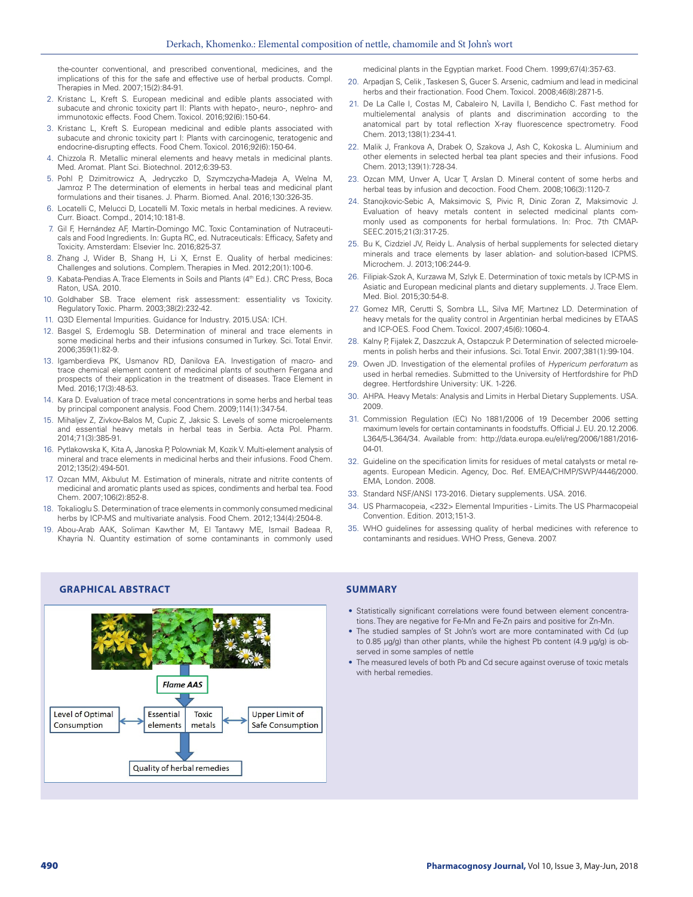the-counter conventional, and prescribed conventional, medicines, and the implications of this for the safe and effective use of herbal products. Compl. Therapies in Med. 2007;15(2):84-91.

- 2. Kristanc L, Kreft S. European medicinal and edible plants associated with subacute and chronic toxicity part II: Plants with hepato-, neuro-, nephro- and immunotoxic effects. Food Chem. Toxicol. 2016;92(6):150-64.
- 3. Kristanc L, Kreft S. European medicinal and edible plants associated with subacute and chronic toxicity part I: Plants with carcinogenic, teratogenic and endocrine-disrupting effects. Food Chem. Toxicol. 2016;92(6):150-64.
- 4. Chizzola R. Metallic mineral elements and heavy metals in medicinal plants. Med. Aromat. Plant Sci. Biotechnol. 2012;6:39-53.
- 5. Pohl P, Dzimitrowicz A, Jedryczko D, Szymczycha-Madeja A, Welna M, Jamroz P. The determination of elements in herbal teas and medicinal plant formulations and their tisanes. J. Pharm. Biomed. Anal. 2016;130:326-35.
- 6. Locatelli C, Melucci D, Locatelli M. Toxic metals in herbal medicines. A review. Curr. Bioact. Compd., 2014;10:181-8.
- 7. Gil F, Hernández AF, Martín-Domingo MC. Toxic Contamination of Nutraceuticals and Food Ingredients. In: Gupta RC, ed. Nutraceuticals: Efficacy, Safety and Toxicity. Amsterdam: Elsevier Inc. 2016;825-37.
- 8. Zhang J, Wider B, Shang H, Li X, Ernst E. Quality of herbal medicines: Challenges and solutions. Complem. Therapies in Med. 2012;20(1):100-6.
- 9. Kabata-Pendias A. Trace Elements in Soils and Plants (4<sup>th</sup> Ed.). CRC Press, Boca Raton, USA. 2010.
- 10. Goldhaber SB. Trace element risk assessment: essentiality vs Toxicity. Regulatory Toxic. Pharm. 2003;38(2):232-42.
- 11. Q3D Elemental Impurities. Guidance for Industry. 2015.USA: ICH.
- 12. Basgel S, Erdemoglu SB. Determination of mineral and trace elements in some medicinal herbs and their infusions consumed in Turkey. Sci. Total Envir. 2006;359(1):82-9.
- 13. Igamberdieva PK, Usmanov RD, Danilova EA. Investigation of macro- and trace chemical element content of medicinal plants of southern Fergana and prospects of their application in the treatment of diseases. Trace Element in Med. 2016;17(3):48-53.
- 14. Kara D. Evaluation of trace metal concentrations in some herbs and herbal teas by principal component analysis. Food Chem. 2009;114(1):347-54.
- 15. Mihaljev Z, Zivkov-Balos M, Cupic Z, Jaksic S. Levels of some microelements and essential heavy metals in herbal teas in Serbia. Acta Pol. Pharm. 2014;71(3):385-91.
- 16. Pytlakowska K, Kita A, Janoska P, Polowniak M, Kozik V. Multi-element analysis of mineral and trace elements in medicinal herbs and their infusions. Food Chem. 2012;135(2):494-501.
- 17. Ozcan MM, Akbulut M. Estimation of minerals, nitrate and nitrite contents of medicinal and aromatic plants used as spices, condiments and herbal tea. Food Chem. 2007;106(2):852-8.
- 18. Tokalioglu S. Determination of trace elements in commonly consumed medicinal herbs by ICP-MS and multivariate analysis. Food Chem. 2012;134(4):2504-8.
- 19. Abou-Arab AAK, Soliman Kawther M, El Tantawy ME, Ismail Badeaa R, Khayria N. Quantity estimation of some contaminants in commonly used

medicinal plants in the Egyptian market. Food Chem. 1999;67(4):357-63.

- 20. Arpadjan S, Celik , Taskesen S, Gucer S. Arsenic, cadmium and lead in medicinal herbs and their fractionation. Food Chem. Toxicol. 2008;46(8):2871-5.
- 21. De La Calle I, Costas M, Cabaleiro N, Lavilla I, Bendicho C. Fast method for multielemental analysis of plants and discrimination according to the anatomical part by total reflection X-ray fluorescence spectrometry. Food Chem. 2013;138(1):234-41.
- 22. Malik J, Frankova A, Drabek O, Szakova J, Ash C, Kokoska L. Aluminium and other elements in selected herbal tea plant species and their infusions. Food Chem. 2013;139(1):728-34.
- 23. Ozcan MM, Unver A, Ucar T, Arslan D. Mineral content of some herbs and herbal teas by infusion and decoction. Food Chem. 2008:106(3):1120-7.
- 24. Stanojkovic-Sebic A, Maksimovic S, Pivic R, Dinic Zoran Z, Maksimovic J. Evaluation of heavy metals content in selected medicinal plants commonly used as components for herbal formulations. In: Proc. 7th CMAP-SEEC.2015;21(3):317-25.
- 25. Bu K, Cizdziel JV, Reidy L. Analysis of herbal supplements for selected dietary minerals and trace elements by laser ablation- and solution-based ICPMS. Microchem. J. 2013;106:244-9.
- 26. Filipiak-Szok A, Kurzawa M, Szlyk E. Determination of toxic metals by ICP-MS in Asiatic and European medicinal plants and dietary supplements. J. Trace Elem. Med. Biol. 2015;30:54-8.
- 27. Gomez MR, Cerutti S, Sombra LL, Silva MF, Martınez LD. Determination of heavy metals for the quality control in Argentinian herbal medicines by ETAAS and ICP-OES. Food Chem. Toxicol. 2007;45(6):1060-4.
- 28. Kalny P, Fijałek Z, Daszczuk A, Ostapczuk P. Determination of selected microelements in polish herbs and their infusions. Sci. Total Envir. 2007;381(1):99-104.
- 29. Owen JD. Investigation of the elemental profiles of *Hypericum perforatum* as used in herbal remedies. Submitted to the University of Hertfordshire for PhD degree. Hertfordshire University: UK. 1-226.
- 30. AHPA. Heavy Metals: Analysis and Limits in Herbal Dietary Supplements. USA. 2009.
- 31. Commission Regulation (EC) No 1881/2006 of 19 December 2006 setting maximum levels for certain contaminants in foodstuffs. Official J. EU. 20.12.2006. L364/5-L364/34. Available from: http://data.europa.eu/eli/reg/2006/1881/2016- 04-01.
- 32. Guideline on the specification limits for residues of metal catalysts or metal reagents. European Medicin. Agency, Doc. Ref. EMEA/CHMP/SWP/4446/2000. EMA, London. 2008.
- 33. Standard NSF/ANSI 173-2016. Dietary supplements. USA. 2016.
- 34. US Pharmacopeia, <232> Elemental Impurities Limits. The US Pharmacopeial Convention. Edition. 2013;151-3.
- 35. WHO guidelines for assessing quality of herbal medicines with reference to contaminants and residues. WHO Press, Geneva. 2007.

# **GRAPHICAL ABSTRACT SUMMARY**

- Statistically significant correlations were found between element concentrations. They are negative for Fe-Mn and Fe-Zn pairs and positive for Zn-Mn.
- The studied samples of St John's wort are more contaminated with Cd (up to 0.85 µg/g) than other plants, while the highest Pb content (4.9 µg/g) is observed in some samples of nettle
- The measured levels of both Pb and Cd secure against overuse of toxic metals with herbal remedies.